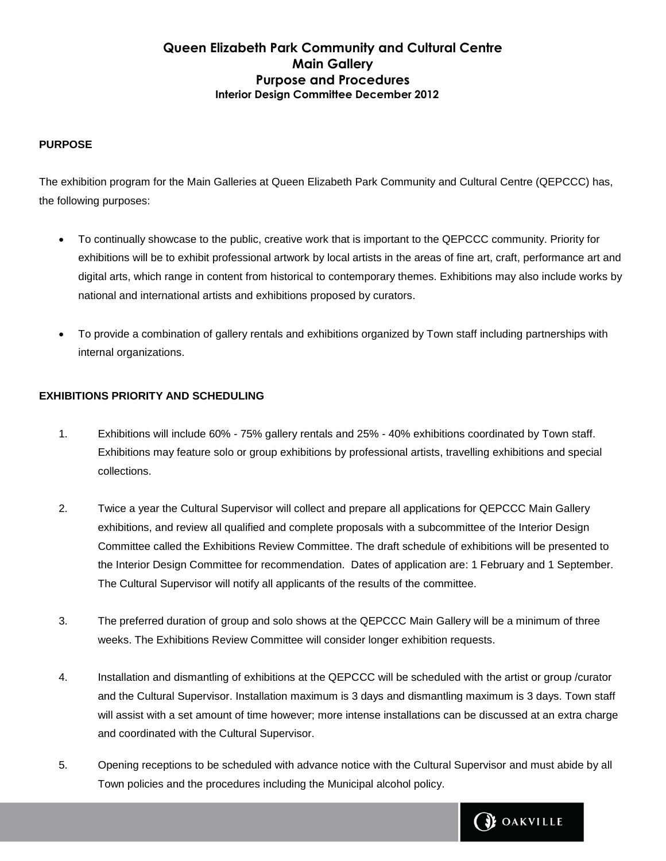## **PURPOSE**

The exhibition program for the Main Galleries at Queen Elizabeth Park Community and Cultural Centre (QEPCCC) has, the following purposes:

- To continually showcase to the public, creative work that is important to the QEPCCC community. Priority for exhibitions will be to exhibit professional artwork by local artists in the areas of fine art, craft, performance art and digital arts, which range in content from historical to contemporary themes. Exhibitions may also include works by national and international artists and exhibitions proposed by curators.
- To provide a combination of gallery rentals and exhibitions organized by Town staff including partnerships with internal organizations.

## **EXHIBITIONS PRIORITY AND SCHEDULING**

- 1. Exhibitions will include 60% 75% gallery rentals and 25% 40% exhibitions coordinated by Town staff. Exhibitions may feature solo or group exhibitions by professional artists, travelling exhibitions and special collections.
- 2. Twice a year the Cultural Supervisor will collect and prepare all applications for QEPCCC Main Gallery exhibitions, and review all qualified and complete proposals with a subcommittee of the Interior Design Committee called the Exhibitions Review Committee. The draft schedule of exhibitions will be presented to the Interior Design Committee for recommendation. Dates of application are: 1 February and 1 September. The Cultural Supervisor will notify all applicants of the results of the committee.
- 3. The preferred duration of group and solo shows at the QEPCCC Main Gallery will be a minimum of three weeks. The Exhibitions Review Committee will consider longer exhibition requests.
- 4. Installation and dismantling of exhibitions at the QEPCCC will be scheduled with the artist or group /curator and the Cultural Supervisor. Installation maximum is 3 days and dismantling maximum is 3 days. Town staff will assist with a set amount of time however; more intense installations can be discussed at an extra charge and coordinated with the Cultural Supervisor.
- 5. Opening receptions to be scheduled with advance notice with the Cultural Supervisor and must abide by all Town policies and the procedures including the Municipal alcohol policy.

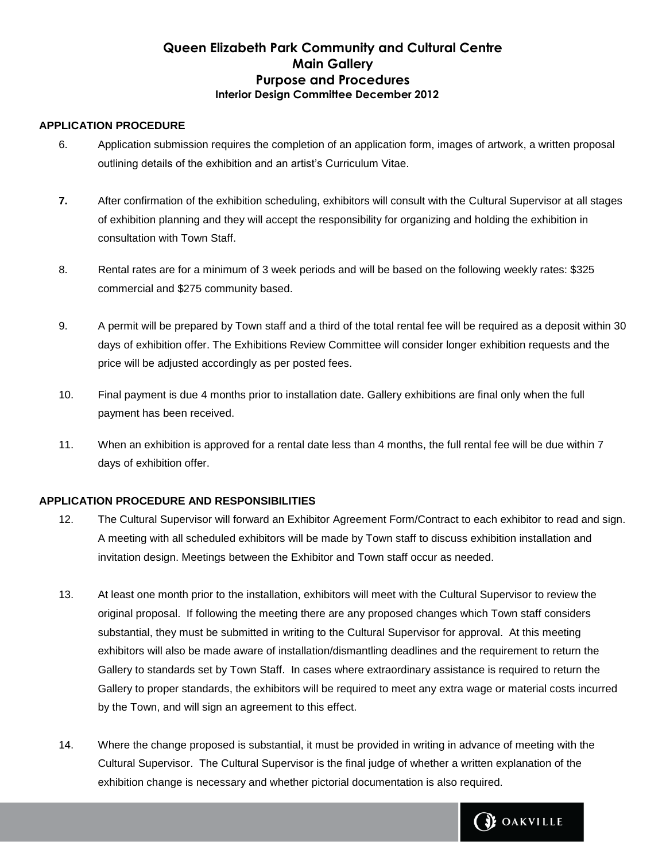### **APPLICATION PROCEDURE**

- 6. Application submission requires the completion of an application form, images of artwork, a written proposal outlining details of the exhibition and an artist's Curriculum Vitae.
- **7.** After confirmation of the exhibition scheduling, exhibitors will consult with the Cultural Supervisor at all stages of exhibition planning and they will accept the responsibility for organizing and holding the exhibition in consultation with Town Staff.
- 8. Rental rates are for a minimum of 3 week periods and will be based on the following weekly rates: \$325 commercial and \$275 community based.
- 9. A permit will be prepared by Town staff and a third of the total rental fee will be required as a deposit within 30 days of exhibition offer. The Exhibitions Review Committee will consider longer exhibition requests and the price will be adjusted accordingly as per posted fees.
- 10. Final payment is due 4 months prior to installation date. Gallery exhibitions are final only when the full payment has been received.
- 11. When an exhibition is approved for a rental date less than 4 months, the full rental fee will be due within 7 days of exhibition offer.

## **APPLICATION PROCEDURE AND RESPONSIBILITIES**

- 12. The Cultural Supervisor will forward an Exhibitor Agreement Form/Contract to each exhibitor to read and sign. A meeting with all scheduled exhibitors will be made by Town staff to discuss exhibition installation and invitation design. Meetings between the Exhibitor and Town staff occur as needed.
- 13. At least one month prior to the installation, exhibitors will meet with the Cultural Supervisor to review the original proposal. If following the meeting there are any proposed changes which Town staff considers substantial, they must be submitted in writing to the Cultural Supervisor for approval. At this meeting exhibitors will also be made aware of installation/dismantling deadlines and the requirement to return the Gallery to standards set by Town Staff. In cases where extraordinary assistance is required to return the Gallery to proper standards, the exhibitors will be required to meet any extra wage or material costs incurred by the Town, and will sign an agreement to this effect.
- 14. Where the change proposed is substantial, it must be provided in writing in advance of meeting with the Cultural Supervisor. The Cultural Supervisor is the final judge of whether a written explanation of the exhibition change is necessary and whether pictorial documentation is also required.

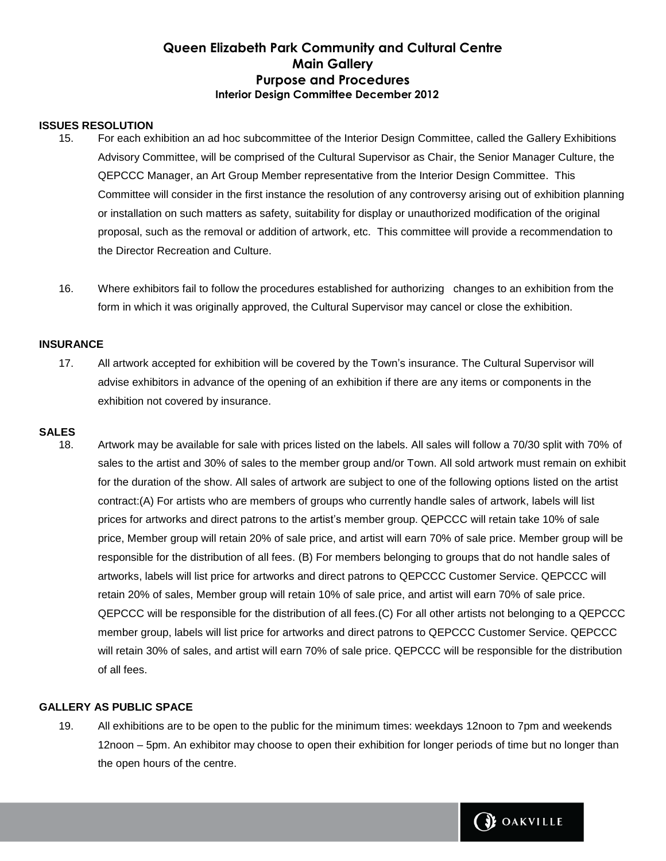### **ISSUES RESOLUTION**

- 15. For each exhibition an ad hoc subcommittee of the Interior Design Committee, called the Gallery Exhibitions Advisory Committee, will be comprised of the Cultural Supervisor as Chair, the Senior Manager Culture, the QEPCCC Manager, an Art Group Member representative from the Interior Design Committee. This Committee will consider in the first instance the resolution of any controversy arising out of exhibition planning or installation on such matters as safety, suitability for display or unauthorized modification of the original proposal, such as the removal or addition of artwork, etc. This committee will provide a recommendation to the Director Recreation and Culture.
- 16. Where exhibitors fail to follow the procedures established for authorizing changes to an exhibition from the form in which it was originally approved, the Cultural Supervisor may cancel or close the exhibition.

#### **INSURANCE**

17. All artwork accepted for exhibition will be covered by the Town's insurance. The Cultural Supervisor will advise exhibitors in advance of the opening of an exhibition if there are any items or components in the exhibition not covered by insurance.

### **SALES**

18. Artwork may be available for sale with prices listed on the labels. All sales will follow a 70/30 split with 70% of sales to the artist and 30% of sales to the member group and/or Town. All sold artwork must remain on exhibit for the duration of the show. All sales of artwork are subject to one of the following options listed on the artist contract:(A) For artists who are members of groups who currently handle sales of artwork, labels will list prices for artworks and direct patrons to the artist's member group. QEPCCC will retain take 10% of sale price, Member group will retain 20% of sale price, and artist will earn 70% of sale price. Member group will be responsible for the distribution of all fees. (B) For members belonging to groups that do not handle sales of artworks, labels will list price for artworks and direct patrons to QEPCCC Customer Service. QEPCCC will retain 20% of sales, Member group will retain 10% of sale price, and artist will earn 70% of sale price. QEPCCC will be responsible for the distribution of all fees.(C) For all other artists not belonging to a QEPCCC member group, labels will list price for artworks and direct patrons to QEPCCC Customer Service. QEPCCC will retain 30% of sales, and artist will earn 70% of sale price. QEPCCC will be responsible for the distribution of all fees.

## **GALLERY AS PUBLIC SPACE**

19. All exhibitions are to be open to the public for the minimum times: weekdays 12noon to 7pm and weekends 12noon – 5pm. An exhibitor may choose to open their exhibition for longer periods of time but no longer than the open hours of the centre.